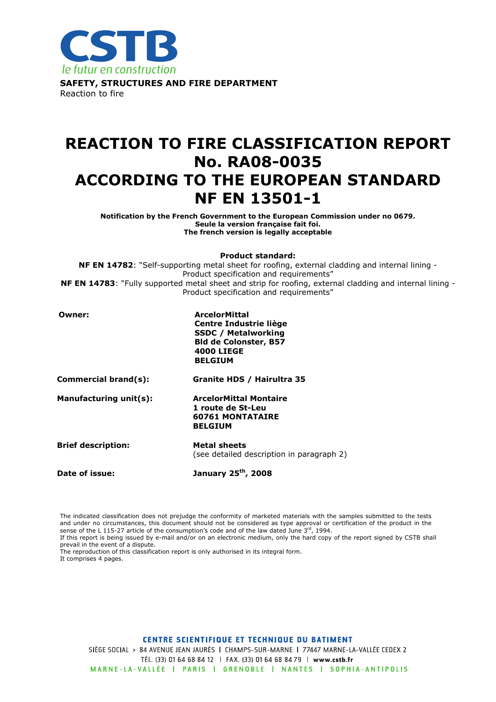

# REACTION TO FIRE CLASSIFICATION REPORT No. RA08-0035 ACCORDING TO THE EUROPEAN STANDARD NF EN 13501-1

Notification by the French Government to the European Commission under no 0679. Seule la version française fait foi. The french version is legally acceptable

Product standard:

NF EN 14782: "Self-supporting metal sheet for roofing, external cladding and internal lining -Product specification and requirements" NF EN 14783: "Fully supported metal sheet and strip for roofing, external cladding and internal lining -Product specification and requirements"

| Owner:                    | <b>ArcelorMittal</b><br>Centre Industrie liège<br><b>SSDC / Metalworking</b><br><b>Bld de Colonster, B57</b><br><b>4000 LIEGE</b><br><b>BELGIUM</b> |  |  |
|---------------------------|-----------------------------------------------------------------------------------------------------------------------------------------------------|--|--|
| Commercial brand(s):      | Granite HDS / Hairultra 35                                                                                                                          |  |  |
| Manufacturing unit(s):    | <b>ArcelorMittal Montaire</b><br>1 route de St-Leu<br><b>60761 MONTATAIRE</b><br><b>BELGIUM</b>                                                     |  |  |
| <b>Brief description:</b> | <b>Metal sheets</b><br>(see detailed description in paragraph 2)                                                                                    |  |  |
| Date of issue:            | January 25 <sup>th</sup> , 2008                                                                                                                     |  |  |

The indicated classification does not prejudge the conformity of marketed materials with the samples submitted to the tests and under no circumstances, this document should not be considered as type approval or certification of the product in the sense of the L 115-27 article of the consumption's code and of the law dated June  $3^{rd}$ , 1994.

If this report is being issued by e-mail and/or on an electronic medium, only the hard copy of the report signed by CSTB shall prevail in the event of a dispute.

The reproduction of this classification report is only authorised in its integral form. It comprises 4 pages.

**CENTRE SCIENTIFIQUE ET TECHNIQUE DU BATIMENT** 

SIÈGE SOCIAL > 84 AVENUE JEAN JAURÈS | CHAMPS-SUR-MARNE | 77447 MARNE-LA-VALLÉE CEDEX 2 TÉL. (33) 01 64 68 84 12 | FAX. (33) 01 64 68 84 79 | www.cstb.fr MARNE-LA-VALLÉE | PARIS | GRENOBLE | NANTES | SOPHIA-ANTIPOLIS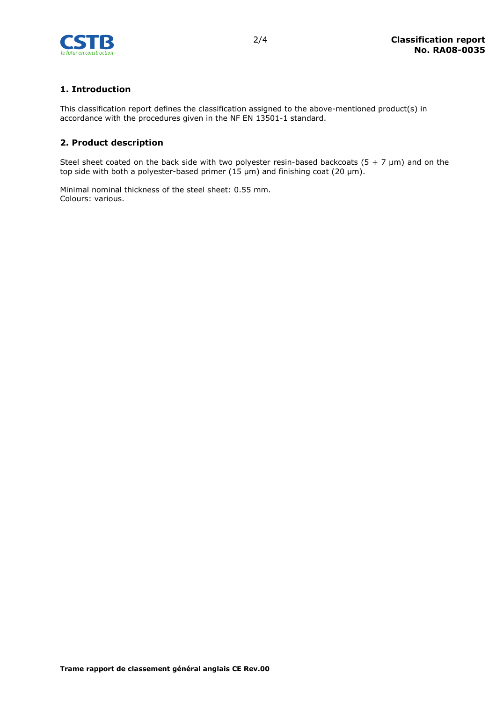

# 1. Introduction

This classification report defines the classification assigned to the above-mentioned product(s) in accordance with the procedures given in the NF EN 13501-1 standard.

#### 2. Product description

Steel sheet coated on the back side with two polyester resin-based backcoats (5 + 7  $\mu$ m) and on the top side with both a polyester-based primer (15  $\mu$ m) and finishing coat (20  $\mu$ m).

Minimal nominal thickness of the steel sheet: 0.55 mm. Colours: various.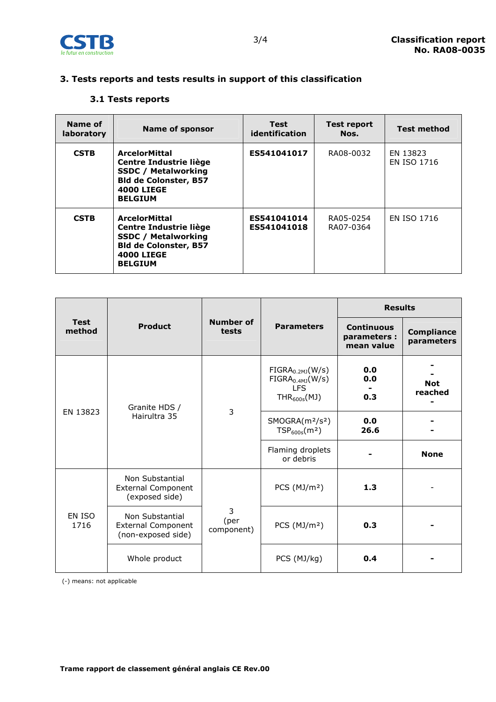

# 3. Tests reports and tests results in support of this classification

### 3.1 Tests reports

| Name of<br>laboratory | <b>Name of sponsor</b>                                                                                                                              | Test<br>identification     | <b>Test report</b><br>Nos. | <b>Test method</b>             |
|-----------------------|-----------------------------------------------------------------------------------------------------------------------------------------------------|----------------------------|----------------------------|--------------------------------|
| <b>CSTB</b>           | <b>ArcelorMittal</b><br>Centre Industrie liège<br><b>SSDC / Metalworking</b><br><b>Bld de Colonster, B57</b><br><b>4000 LIEGE</b><br><b>BELGIUM</b> | ES541041017                | RA08-0032                  | EN 13823<br><b>EN ISO 1716</b> |
| <b>CSTB</b>           | <b>ArcelorMittal</b><br>Centre Industrie liège<br><b>SSDC / Metalworking</b><br><b>Bld de Colonster, B57</b><br><b>4000 LIEGE</b><br><b>BELGIUM</b> | ES541041014<br>ES541041018 | RA05-0254<br>RA07-0364     | <b>EN ISO 1716</b>             |

| <b>Test</b><br>method | <b>Product</b>                                                     | Number of<br>tests      |                                                                                       | <b>Results</b>                                  |                                 |
|-----------------------|--------------------------------------------------------------------|-------------------------|---------------------------------------------------------------------------------------|-------------------------------------------------|---------------------------------|
|                       |                                                                    |                         | <b>Parameters</b>                                                                     | <b>Continuous</b><br>parameters :<br>mean value | <b>Compliance</b><br>parameters |
| EN 13823              | Granite HDS /<br>Hairultra 35                                      | 3                       | $FIGRA_{0.2MJ}(W/s)$<br>FIGRA <sub>0.4MJ</sub> (W/s)<br><b>LFS</b><br>$THR_{600s}(M)$ | 0.0<br>0.0<br>0.3                               | <b>Not</b><br>reached           |
|                       |                                                                    |                         | SMOGRA(m <sup>2</sup> /s <sup>2</sup> )<br>TSP <sub>600s</sub> (m <sup>2</sup> )      | 0.0<br>26.6                                     |                                 |
|                       |                                                                    |                         | Flaming droplets<br>or debris                                                         |                                                 | <b>None</b>                     |
| EN ISO<br>1716        | Non Substantial<br><b>External Component</b><br>(exposed side)     |                         | PCS $(MJ/m2)$                                                                         | 1.3                                             |                                 |
|                       | Non Substantial<br><b>External Component</b><br>(non-exposed side) | 3<br>(per<br>component) | PCS $(MJ/m2)$                                                                         | 0.3                                             |                                 |
|                       | Whole product                                                      |                         | PCS (MJ/kg)                                                                           | 0.4                                             |                                 |

(-) means: not applicable